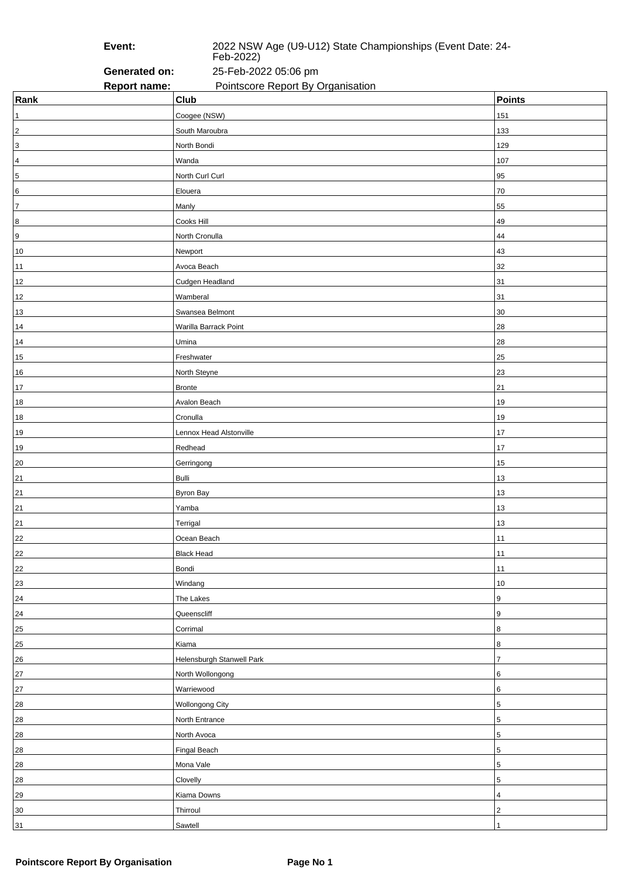**Event:** 2022 NSW Age (U9-U12) State Championships (Event Date: 24- Feb-2022)

**Generated on:** 25-Feb-2022 05:06 pm **Report name:** Pointscore Report By Organisation

| Rank             | <b>Club</b>               | <b>Points</b>  |
|------------------|---------------------------|----------------|
| 1                | Coogee (NSW)              | 151            |
| $\sqrt{2}$       | South Maroubra            | 133            |
| $\overline{3}$   | North Bondi               | 129            |
| $\sqrt{4}$       | Wanda                     | 107            |
| $\overline{5}$   | North Curl Curl           | 95             |
| 6                | Elouera                   | 70             |
| $\overline{7}$   | Manly                     | 55             |
| 8                | Cooks Hill                | 49             |
| $\boldsymbol{9}$ | North Cronulla            | 44             |
| 10               | Newport                   | 43             |
| $11$             | Avoca Beach               | 32             |
| $12$             | Cudgen Headland           | 31             |
| 12               | Wamberal                  | 31             |
| 13               | Swansea Belmont           | 30             |
| 14               | Warilla Barrack Point     | 28             |
| 14               | Umina                     | 28             |
| 15               | Freshwater                | 25             |
| $16\,$           | North Steyne              | 23             |
| $17$             | <b>Bronte</b>             | 21             |
| 18               | Avalon Beach              | 19             |
| $18$             | Cronulla                  | 19             |
| 19               | Lennox Head Alstonville   | 17             |
| 19               | Redhead                   | 17             |
| 20               | Gerringong                | 15             |
| 21               | <b>Bulli</b>              | 13             |
| 21               | <b>Byron Bay</b>          | 13             |
| 21               | Yamba                     | 13             |
| 21               | Terrigal                  | 13             |
| 22               | Ocean Beach               | 11             |
| 22               | <b>Black Head</b>         | 11             |
| $22\,$           | Bondi                     | 11             |
| 23               | Windang                   | 10             |
| 24               | The Lakes                 | 9              |
| 24               | Queenscliff               | 9              |
| 25               | Corrimal                  | 8              |
| 25               | Kiama                     | 8              |
| 26               | Helensburgh Stanwell Park | $\overline{7}$ |
| 27               | North Wollongong          | 6              |
| 27               | Warriewood                | 6              |
| ${\bf 28}$       | Wollongong City           | 5              |
| 28               | North Entrance            | 5              |
| 28               | North Avoca               | 5              |
| 28               | Fingal Beach              | 5              |
| 28               | Mona Vale                 | 5              |
| 28               | Clovelly                  | 5              |
| 29               | Kiama Downs               | 4              |
| 30               | Thirroul                  | 2              |
| 31               | Sawtell                   | 1              |
|                  |                           |                |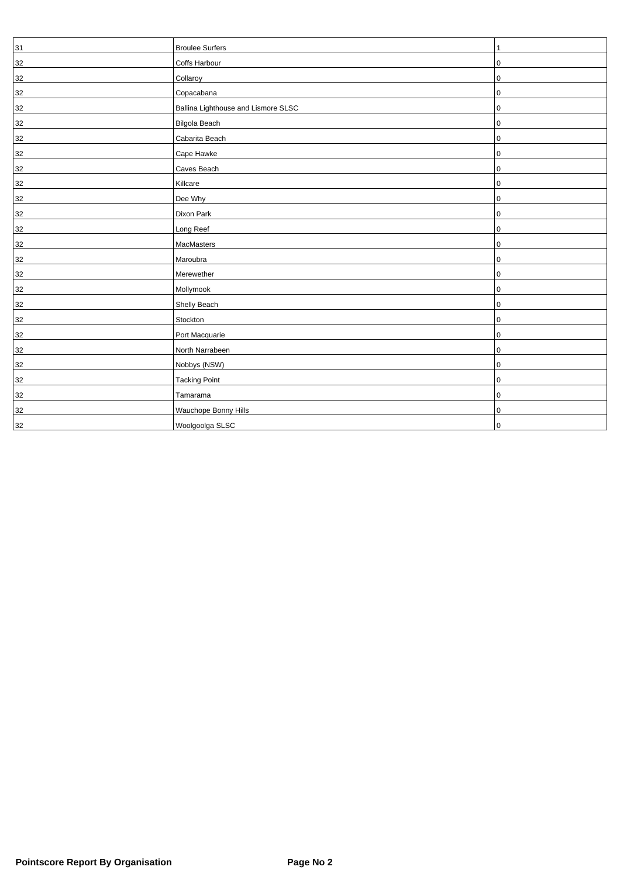| 31     | <b>Broulee Surfers</b>              |   |
|--------|-------------------------------------|---|
| 32     | Coffs Harbour                       | 0 |
| 32     | Collaroy                            | 0 |
| 32     | Copacabana                          | 0 |
| 32     | Ballina Lighthouse and Lismore SLSC | 0 |
| 32     | Bilgola Beach                       | 0 |
| 32     | Cabarita Beach                      | 0 |
| 32     | Cape Hawke                          | 0 |
| 32     | Caves Beach                         | 0 |
| 32     | Killcare                            | 0 |
| 32     | Dee Why                             | 0 |
| 32     | Dixon Park                          | 0 |
| 32     | Long Reef                           | 0 |
| $32\,$ | MacMasters                          | 0 |
| 32     | Maroubra                            | 0 |
| 32     | Merewether                          | 0 |
| 32     | Mollymook                           | 0 |
| 32     | Shelly Beach                        | 0 |
| 32     | Stockton                            | 0 |
| 32     | Port Macquarie                      | 0 |
| 32     | North Narrabeen                     | 0 |
| 32     | Nobbys (NSW)                        | 0 |
| 32     | <b>Tacking Point</b>                | 0 |
| 32     | Tamarama                            | 0 |
| 32     | Wauchope Bonny Hills                | 0 |
| 32     | Woolgoolga SLSC                     | 0 |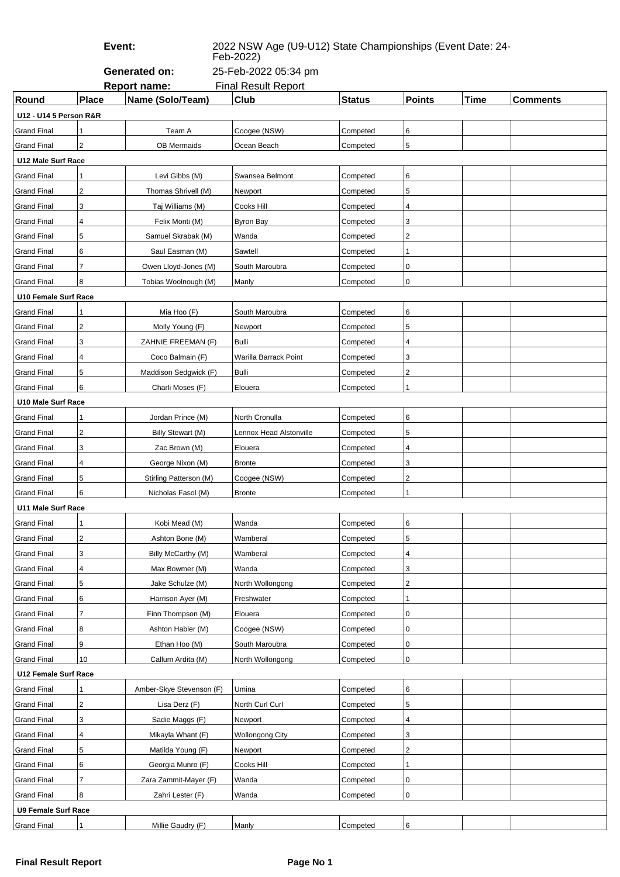**Event:** 2022 NSW Age (U9-U12) State Championships (Event Date: 24-

Feb-2022)

**Generated on:** 25-Feb-2022 05:34 pm

|                            | <b>Report name:</b><br><b>Final Result Report</b> |                          |                         |               |                         |             |                 |  |  |  |
|----------------------------|---------------------------------------------------|--------------------------|-------------------------|---------------|-------------------------|-------------|-----------------|--|--|--|
| Round                      | Place                                             | Name (Solo/Team)         | Club                    | <b>Status</b> | <b>Points</b>           | <b>Time</b> | <b>Comments</b> |  |  |  |
| U12 - U14 5 Person R&R     |                                                   |                          |                         |               |                         |             |                 |  |  |  |
| <b>Grand Final</b>         | 1                                                 | Team A                   | Coogee (NSW)            | Competed      | 6                       |             |                 |  |  |  |
| <b>Grand Final</b>         | $\overline{2}$                                    | <b>OB Mermaids</b>       | Ocean Beach             | Competed      | $\overline{5}$          |             |                 |  |  |  |
| U12 Male Surf Race         |                                                   |                          |                         |               |                         |             |                 |  |  |  |
| <b>Grand Final</b>         | 1                                                 | Levi Gibbs (M)           | Swansea Belmont         | Competed      | 6                       |             |                 |  |  |  |
| <b>Grand Final</b>         | $\overline{\mathbf{c}}$                           | Thomas Shrivell (M)      | Newport                 | Competed      | 5                       |             |                 |  |  |  |
| <b>Grand Final</b>         | 3                                                 | Taj Williams (M)         | Cooks Hill              | Competed      | 4                       |             |                 |  |  |  |
| <b>Grand Final</b>         | 4                                                 | Felix Monti (M)          | <b>Byron Bay</b>        | Competed      | 3                       |             |                 |  |  |  |
| <b>Grand Final</b>         | 5                                                 | Samuel Skrabak (M)       | Wanda                   | Competed      | 2                       |             |                 |  |  |  |
| <b>Grand Final</b>         | 6                                                 | Saul Easman (M)          | Sawtell                 | Competed      | 1                       |             |                 |  |  |  |
| <b>Grand Final</b>         | 7                                                 | Owen Lloyd-Jones (M)     | South Maroubra          | Competed      | 0                       |             |                 |  |  |  |
| <b>Grand Final</b>         | 8                                                 | Tobias Woolnough (M)     | Manly                   | Competed      | 0                       |             |                 |  |  |  |
| U10 Female Surf Race       |                                                   |                          |                         |               |                         |             |                 |  |  |  |
| <b>Grand Final</b>         | 1                                                 | Mia Hoo (F)              | South Maroubra          | Competed      | 6                       |             |                 |  |  |  |
| <b>Grand Final</b>         | $\overline{\mathbf{c}}$                           | Molly Young (F)          | Newport                 | Competed      | 5                       |             |                 |  |  |  |
| <b>Grand Final</b>         | 3                                                 | ZAHNIE FREEMAN (F)       | Bulli                   | Competed      | 4                       |             |                 |  |  |  |
| <b>Grand Final</b>         | $\overline{\mathbf{4}}$                           | Coco Balmain (F)         | Warilla Barrack Point   | Competed      | 3                       |             |                 |  |  |  |
| <b>Grand Final</b>         | 5                                                 | Maddison Sedgwick (F)    | <b>Bulli</b>            | Competed      | 2                       |             |                 |  |  |  |
| <b>Grand Final</b>         | 6                                                 | Charli Moses (F)         | Elouera                 | Competed      |                         |             |                 |  |  |  |
| U10 Male Surf Race         |                                                   |                          |                         |               |                         |             |                 |  |  |  |
| <b>Grand Final</b>         | 1                                                 | Jordan Prince (M)        | North Cronulla          | Competed      | 6                       |             |                 |  |  |  |
| <b>Grand Final</b>         | $\overline{\mathbf{c}}$                           | Billy Stewart (M)        | Lennox Head Alstonville | Competed      | 5                       |             |                 |  |  |  |
| <b>Grand Final</b>         | 3                                                 | Zac Brown (M)            | Elouera                 | Competed      | 4                       |             |                 |  |  |  |
| <b>Grand Final</b>         | 4                                                 | George Nixon (M)         | <b>Bronte</b>           | Competed      | 3                       |             |                 |  |  |  |
| <b>Grand Final</b>         | 5                                                 | Stirling Patterson (M)   | Coogee (NSW)            | Competed      | 2                       |             |                 |  |  |  |
| <b>Grand Final</b>         | 6                                                 | Nicholas Fasol (M)       | <b>Bronte</b>           | Competed      |                         |             |                 |  |  |  |
| U11 Male Surf Race         |                                                   |                          |                         |               |                         |             |                 |  |  |  |
| Grand Final                | 1                                                 | Kobi Mead (M)            | Wanda                   | Competed      | 6                       |             |                 |  |  |  |
| <b>Grand Final</b>         | 2                                                 | Ashton Bone (M)          | Wamberal                | Competed      | 5                       |             |                 |  |  |  |
| <b>Grand Final</b>         | 3                                                 | Billy McCarthy (M)       | Wamberal                | Competed      | $\overline{\mathbf{4}}$ |             |                 |  |  |  |
| <b>Grand Final</b>         | 4                                                 | Max Bowmer (M)           | Wanda                   | Competed      | 3                       |             |                 |  |  |  |
| <b>Grand Final</b>         | 5                                                 | Jake Schulze (M)         | North Wollongong        | Competed      | $\overline{2}$          |             |                 |  |  |  |
| <b>Grand Final</b>         | 6                                                 | Harrison Ayer (M)        | Freshwater              | Competed      | 1                       |             |                 |  |  |  |
| <b>Grand Final</b>         | 7                                                 | Finn Thompson (M)        | Elouera                 | Competed      | 0                       |             |                 |  |  |  |
| Grand Final                | 8                                                 | Ashton Habler (M)        | Coogee (NSW)            | Competed      | 0                       |             |                 |  |  |  |
| <b>Grand Final</b>         | 9                                                 | Ethan Hoo (M)            | South Maroubra          | Competed      | 0                       |             |                 |  |  |  |
| <b>Grand Final</b>         | 10                                                | Callum Ardita (M)        | North Wollongong        | Competed      | $\mathbf 0$             |             |                 |  |  |  |
| U12 Female Surf Race       |                                                   |                          |                         |               |                         |             |                 |  |  |  |
| <b>Grand Final</b>         | 1                                                 | Amber-Skye Stevenson (F) | Umina                   | Competed      | 6                       |             |                 |  |  |  |
| <b>Grand Final</b>         | $\overline{\mathbf{c}}$                           | Lisa Derz (F)            | North Curl Curl         | Competed      | 5                       |             |                 |  |  |  |
| <b>Grand Final</b>         | 3                                                 | Sadie Maggs (F)          | Newport                 | Competed      | 4                       |             |                 |  |  |  |
| <b>Grand Final</b>         | 4                                                 | Mikayla Whant (F)        | <b>Wollongong City</b>  | Competed      | 3                       |             |                 |  |  |  |
| <b>Grand Final</b>         | 5                                                 | Matilda Young (F)        | Newport                 | Competed      | $\sqrt{2}$              |             |                 |  |  |  |
| <b>Grand Final</b>         | 6                                                 | Georgia Munro (F)        | Cooks Hill              | Competed      | 1                       |             |                 |  |  |  |
| <b>Grand Final</b>         | 7                                                 | Zara Zammit-Mayer (F)    | Wanda                   | Competed      | 0                       |             |                 |  |  |  |
| <b>Grand Final</b>         | 8                                                 | Zahri Lester (F)         | Wanda                   | Competed      | $\pmb{0}$               |             |                 |  |  |  |
| <b>U9 Female Surf Race</b> |                                                   |                          |                         |               |                         |             |                 |  |  |  |
| <b>Grand Final</b>         | 1                                                 | Millie Gaudry (F)        | Manly                   | Competed      | $\,6$                   |             |                 |  |  |  |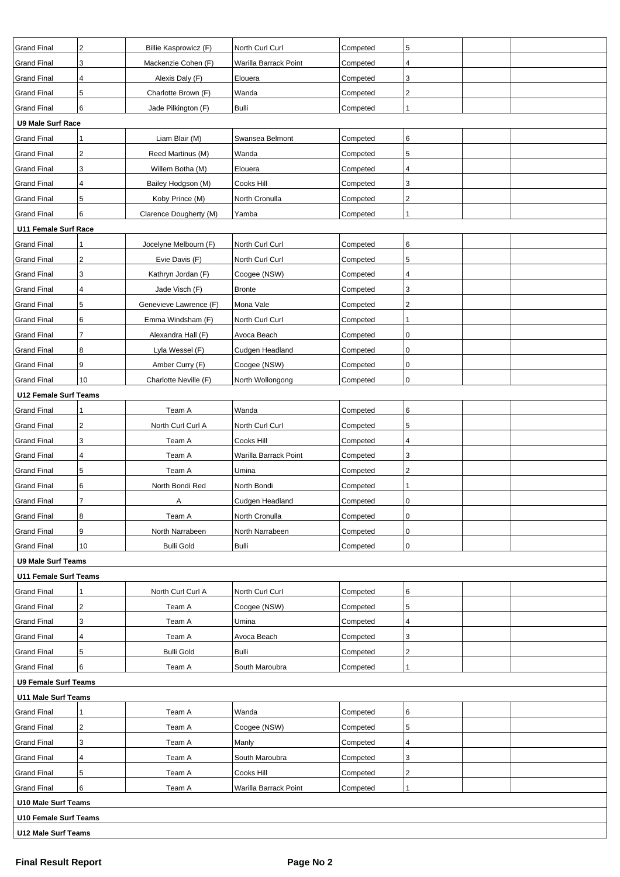| <b>Grand Final</b>                                                             | 2                   | Billie Kasprowicz (F)     | North Curl Curl       | Competed | 5                       |  |  |  |  |
|--------------------------------------------------------------------------------|---------------------|---------------------------|-----------------------|----------|-------------------------|--|--|--|--|
| <b>Grand Final</b>                                                             | 3                   | Mackenzie Cohen (F)       | Warilla Barrack Point | Competed | 4                       |  |  |  |  |
| <b>Grand Final</b>                                                             | 4                   | Alexis Daly (F)           | Elouera               | Competed | 3                       |  |  |  |  |
| <b>Grand Final</b>                                                             | 5                   | Charlotte Brown (F)       | Wanda                 | Competed | $\overline{\mathbf{c}}$ |  |  |  |  |
| <b>Grand Final</b>                                                             | 6                   | Jade Pilkington (F)       | Bulli                 | Competed | 1                       |  |  |  |  |
| <b>U9 Male Surf Race</b>                                                       |                     |                           |                       |          |                         |  |  |  |  |
| <b>Grand Final</b>                                                             | 1                   | Liam Blair (M)            | Swansea Belmont       | Competed | 6                       |  |  |  |  |
| <b>Grand Final</b>                                                             | 2                   | Reed Martinus (M)         | Wanda                 | Competed | 5                       |  |  |  |  |
| <b>Grand Final</b>                                                             | 3                   | Willem Botha (M)          | Elouera               | Competed | 4                       |  |  |  |  |
| <b>Grand Final</b>                                                             | 4                   | Bailey Hodgson (M)        | Cooks Hill            | Competed | 3                       |  |  |  |  |
| <b>Grand Final</b>                                                             | 5                   | Koby Prince (M)           | North Cronulla        | Competed | $\overline{\mathbf{c}}$ |  |  |  |  |
| <b>Grand Final</b>                                                             | 6                   | Clarence Dougherty (M)    | Yamba                 | Competed | 1                       |  |  |  |  |
| U11 Female Surf Race                                                           |                     |                           |                       |          |                         |  |  |  |  |
| <b>Grand Final</b>                                                             | 1                   | Jocelyne Melbourn (F)     | North Curl Curl       | Competed | 6                       |  |  |  |  |
| <b>Grand Final</b>                                                             | 2                   | Evie Davis (F)            | North Curl Curl       | Competed | 5                       |  |  |  |  |
| <b>Grand Final</b>                                                             | 3                   | Kathryn Jordan (F)        | Coogee (NSW)          | Competed | 4                       |  |  |  |  |
| <b>Grand Final</b>                                                             | 4                   | Jade Visch (F)            | <b>Bronte</b>         | Competed | 3                       |  |  |  |  |
| <b>Grand Final</b>                                                             | 5                   | Genevieve Lawrence (F)    | Mona Vale             | Competed | $\overline{\mathbf{c}}$ |  |  |  |  |
| <b>Grand Final</b>                                                             | 6                   | Emma Windsham (F)         | North Curl Curl       | Competed | 1                       |  |  |  |  |
| <b>Grand Final</b>                                                             | 7                   | Alexandra Hall (F)        | Avoca Beach           | Competed | 0                       |  |  |  |  |
| <b>Grand Final</b>                                                             | 8                   | Lyla Wessel (F)           | Cudgen Headland       | Competed | 0                       |  |  |  |  |
| <b>Grand Final</b>                                                             | 9                   | Amber Curry (F)           | Coogee (NSW)          | Competed | 0                       |  |  |  |  |
| <b>Grand Final</b>                                                             | 10                  |                           |                       |          | 0                       |  |  |  |  |
| Charlotte Neville (F)<br>North Wollongong<br>Competed<br>U12 Female Surf Teams |                     |                           |                       |          |                         |  |  |  |  |
| <b>Grand Final</b>                                                             |                     | Team A                    | Wanda                 | Competed | 6                       |  |  |  |  |
| <b>Grand Final</b>                                                             | 2                   | North Curl Curl A         | North Curl Curl       | Competed | 5                       |  |  |  |  |
| <b>Grand Final</b>                                                             | 3                   | Team A                    | Cooks Hill            | Competed | 4                       |  |  |  |  |
|                                                                                | 4                   | Team A                    |                       |          | 3                       |  |  |  |  |
| <b>Grand Final</b><br><b>Grand Final</b>                                       | 5                   |                           | Warilla Barrack Point | Competed | $\overline{\mathbf{c}}$ |  |  |  |  |
|                                                                                |                     | Team A                    | Umina<br>North Bondi  | Competed |                         |  |  |  |  |
| <b>Grand Final</b>                                                             | 6<br>$\overline{7}$ | North Bondi Red           | Cudgen Headland       | Competed | 0                       |  |  |  |  |
| <b>Grand Final</b><br><b>Grand Final</b>                                       |                     | Α                         | North Cronulla        | Competed | 0                       |  |  |  |  |
|                                                                                | 8<br>9              | Team A<br>North Narrabeen |                       | Competed |                         |  |  |  |  |
| <b>Grand Final</b>                                                             |                     |                           | North Narrabeen       | Competed | 0                       |  |  |  |  |
| <b>Grand Final</b>                                                             | 10                  | <b>Bulli Gold</b>         | Bulli                 | Competed | $\mathbf 0$             |  |  |  |  |
| <b>U9 Male Surf Teams</b>                                                      |                     |                           |                       |          |                         |  |  |  |  |
| <b>U11 Female Surf Teams</b>                                                   |                     |                           |                       |          |                         |  |  |  |  |
| <b>Grand Final</b>                                                             |                     | North Curl Curl A         | North Curl Curl       | Competed | 6                       |  |  |  |  |
| <b>Grand Final</b>                                                             | 2                   | Team A                    | Coogee (NSW)          | Competed | 5                       |  |  |  |  |
| <b>Grand Final</b>                                                             | 3                   | Team A                    | Umina                 | Competed | 4                       |  |  |  |  |
| <b>Grand Final</b>                                                             | 4                   | Team A                    | Avoca Beach           | Competed | 3                       |  |  |  |  |
| <b>Grand Final</b>                                                             | 5                   | <b>Bulli Gold</b>         | Bulli                 | Competed | $\overline{\mathbf{c}}$ |  |  |  |  |
| <b>Grand Final</b>                                                             | 6                   | Team A                    | South Maroubra        | Competed | $\mathbf{1}$            |  |  |  |  |
| <b>U9 Female Surf Teams</b>                                                    |                     |                           |                       |          |                         |  |  |  |  |
| <b>U11 Male Surf Teams</b>                                                     |                     |                           |                       |          |                         |  |  |  |  |
| <b>Grand Final</b>                                                             | 1                   | Team A                    | Wanda                 | Competed | 6                       |  |  |  |  |
| <b>Grand Final</b>                                                             | 2                   | Team A                    | Coogee (NSW)          | Competed | 5                       |  |  |  |  |
| <b>Grand Final</b>                                                             | 3                   | Team A                    | Manly                 | Competed | 4                       |  |  |  |  |
| <b>Grand Final</b>                                                             | 4                   | Team A                    | South Maroubra        | Competed | 3                       |  |  |  |  |
| <b>Grand Final</b>                                                             | 5                   | Team A                    | Cooks Hill            | Competed | 2                       |  |  |  |  |
| <b>Grand Final</b>                                                             | 6                   | Team A                    | Warilla Barrack Point | Competed | 1                       |  |  |  |  |
| U10 Male Surf Teams                                                            |                     |                           |                       |          |                         |  |  |  |  |
| U10 Female Surf Teams                                                          |                     |                           |                       |          |                         |  |  |  |  |
| U12 Male Surf Teams                                                            |                     |                           |                       |          |                         |  |  |  |  |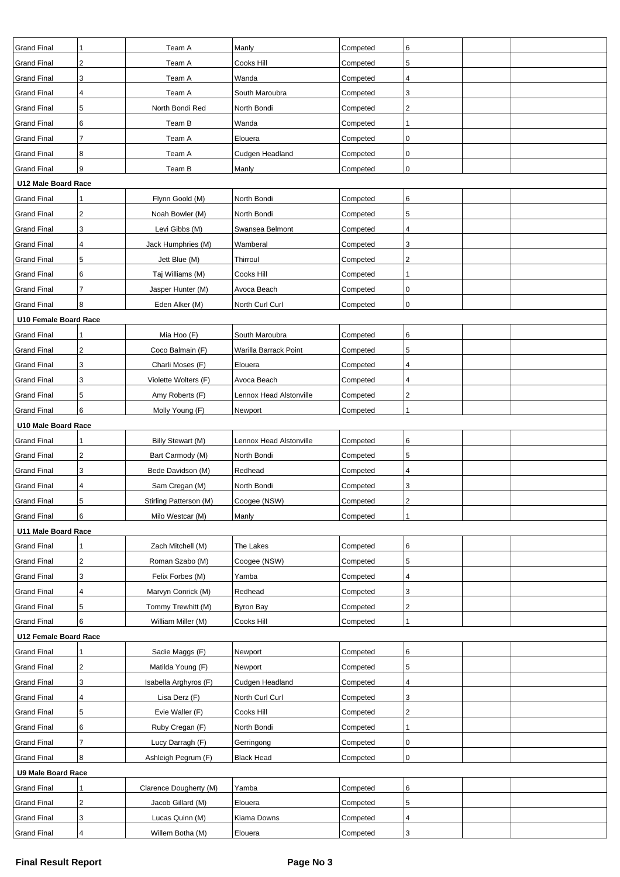| <b>Grand Final</b>           | 1                       | Team A                 | Manly                   | Competed | 6                       |  |
|------------------------------|-------------------------|------------------------|-------------------------|----------|-------------------------|--|
| <b>Grand Final</b>           | 2                       | Team A                 | Cooks Hill              | Competed | 5                       |  |
| <b>Grand Final</b>           | 3                       | Team A                 | Wanda                   | Competed | 4                       |  |
| <b>Grand Final</b>           | 4                       | Team A                 | South Maroubra          | Competed | 3                       |  |
| <b>Grand Final</b>           | 5                       | North Bondi Red        | North Bondi             | Competed | $\overline{\mathbf{c}}$ |  |
| <b>Grand Final</b>           | 6                       | Team B                 | Wanda                   | Competed |                         |  |
| <b>Grand Final</b>           | 7                       | Team A                 | Elouera                 | Competed | $\pmb{0}$               |  |
| <b>Grand Final</b>           | 8                       | Team A                 | Cudgen Headland         | Competed | $\pmb{0}$               |  |
| <b>Grand Final</b>           | 9                       | Team B                 | Manly                   | Competed | 0                       |  |
| U12 Male Board Race          |                         |                        |                         |          |                         |  |
| <b>Grand Final</b>           |                         | Flynn Goold (M)        | North Bondi             | Competed | 6                       |  |
| <b>Grand Final</b>           | 2                       | Noah Bowler (M)        | North Bondi             | Competed | 5                       |  |
| <b>Grand Final</b>           | 3                       | Levi Gibbs (M)         | Swansea Belmont         | Competed | 4                       |  |
| <b>Grand Final</b>           | 4                       | Jack Humphries (M)     | Wamberal                | Competed | 3                       |  |
| <b>Grand Final</b>           | 5                       | Jett Blue (M)          | Thirroul                | Competed | $\boldsymbol{2}$        |  |
| <b>Grand Final</b>           | 6                       | Taj Williams (M)       | Cooks Hill              | Competed |                         |  |
| <b>Grand Final</b>           | $\overline{7}$          | Jasper Hunter (M)      | Avoca Beach             | Competed | 0                       |  |
| <b>Grand Final</b>           | 8                       | Eden Alker (M)         | North Curl Curl         | Competed | $\pmb{0}$               |  |
| <b>U10 Female Board Race</b> |                         |                        |                         |          |                         |  |
| <b>Grand Final</b>           |                         | Mia Hoo (F)            | South Maroubra          | Competed | 6                       |  |
| <b>Grand Final</b>           | 2                       | Coco Balmain (F)       | Warilla Barrack Point   | Competed | 5                       |  |
| <b>Grand Final</b>           | 3                       | Charli Moses (F)       | Elouera                 | Competed | 4                       |  |
| <b>Grand Final</b>           | 3                       | Violette Wolters (F)   | Avoca Beach             | Competed | 4                       |  |
| <b>Grand Final</b>           | 5                       | Amy Roberts (F)        | Lennox Head Alstonville | Competed | $\overline{c}$          |  |
| <b>Grand Final</b>           | 6                       | Molly Young (F)        | Newport                 | Competed |                         |  |
| U10 Male Board Race          |                         |                        |                         |          |                         |  |
| <b>Grand Final</b>           | 1                       | Billy Stewart (M)      | Lennox Head Alstonville | Competed | 6                       |  |
| <b>Grand Final</b>           | $\overline{\mathbf{c}}$ | Bart Carmody (M)       | North Bondi             | Competed | 5                       |  |
| <b>Grand Final</b>           | 3                       | Bede Davidson (M)      | Redhead                 | Competed | 4                       |  |
| <b>Grand Final</b>           | 4                       | Sam Cregan (M)         | North Bondi             | Competed | 3                       |  |
| <b>Grand Final</b>           | 5                       | Stirling Patterson (M) | Coogee (NSW)            | Competed | $\boldsymbol{2}$        |  |
| <b>Grand Final</b>           | 6                       | Milo Westcar (M)       | Manly                   | Competed | 1                       |  |
| U11 Male Board Race          |                         |                        |                         |          |                         |  |
| <b>Grand Final</b>           | 1                       | Zach Mitchell (M)      | The Lakes               | Competed | 6                       |  |
| <b>Grand Final</b>           | 2                       | Roman Szabo (M)        | Coogee (NSW)            | Competed | 5                       |  |
| <b>Grand Final</b>           | 3                       | Felix Forbes (M)       | Yamba                   | Competed | 4                       |  |
| <b>Grand Final</b>           | 4                       | Marvyn Conrick (M)     | Redhead                 | Competed | 3                       |  |
| <b>Grand Final</b>           | 5                       | Tommy Trewhitt (M)     | <b>Byron Bay</b>        | Competed | $\overline{\mathbf{c}}$ |  |
| <b>Grand Final</b>           | 6                       | William Miller (M)     | Cooks Hill              | Competed | 1                       |  |
| U12 Female Board Race        |                         |                        |                         |          |                         |  |
| <b>Grand Final</b>           | 1                       | Sadie Maggs (F)        | Newport                 | Competed | 6                       |  |
| <b>Grand Final</b>           | 2                       | Matilda Young (F)      | Newport                 | Competed | 5                       |  |
| <b>Grand Final</b>           | 3                       | Isabella Arghyros (F)  | Cudgen Headland         | Competed | 4                       |  |
| <b>Grand Final</b>           | 4                       | Lisa Derz (F)          | North Curl Curl         | Competed | 3                       |  |
| <b>Grand Final</b>           | 5                       | Evie Waller (F)        | Cooks Hill              | Competed | $\mathbf 2$             |  |
| <b>Grand Final</b>           | 6                       | Ruby Cregan (F)        | North Bondi             | Competed | 1                       |  |
| <b>Grand Final</b>           | 7                       | Lucy Darragh (F)       | Gerringong              | Competed | $\pmb{0}$               |  |
| <b>Grand Final</b>           | 8                       | Ashleigh Pegrum (F)    | <b>Black Head</b>       | Competed | 0                       |  |
| <b>U9 Male Board Race</b>    |                         |                        |                         |          |                         |  |
| <b>Grand Final</b>           | 1                       | Clarence Dougherty (M) | Yamba                   | Competed | 6                       |  |
| <b>Grand Final</b>           | $\overline{2}$          | Jacob Gillard (M)      | Elouera                 | Competed | 5                       |  |
| <b>Grand Final</b>           | 3                       | Lucas Quinn (M)        | Kiama Downs             | Competed | 4                       |  |
| <b>Grand Final</b>           | 4                       | Willem Botha (M)       | Elouera                 | Competed | 3                       |  |
|                              |                         |                        |                         |          |                         |  |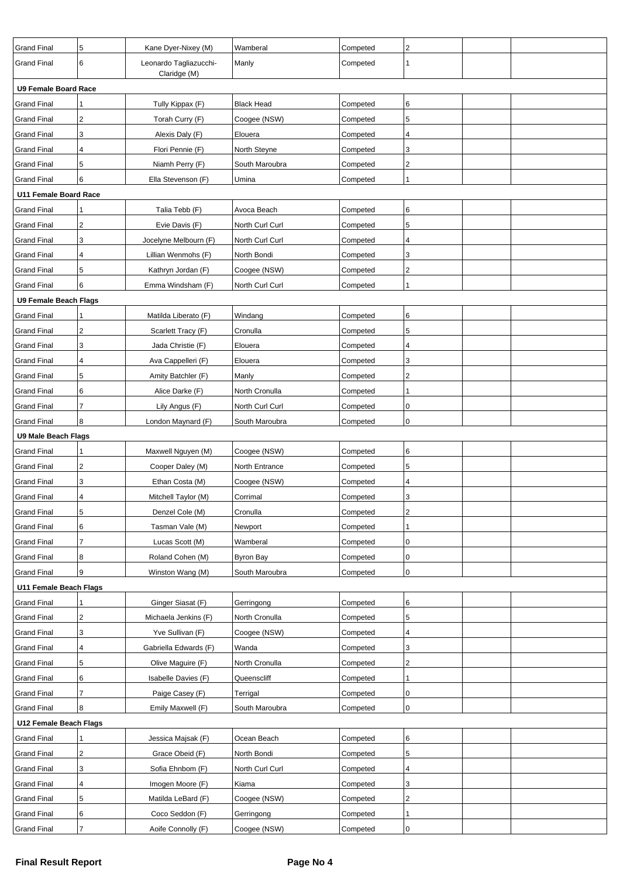| <b>Grand Final</b>           | 5                       | Kane Dyer-Nixey (M)    | Wamberal          | Competed | $\overline{c}$ |  |
|------------------------------|-------------------------|------------------------|-------------------|----------|----------------|--|
| <b>Grand Final</b>           | 6                       | Leonardo Tagliazucchi- | Manly             | Competed | 1              |  |
|                              |                         | Claridge (M)           |                   |          |                |  |
| <b>U9 Female Board Race</b>  |                         |                        |                   |          |                |  |
| <b>Grand Final</b>           |                         | Tully Kippax (F)       | <b>Black Head</b> | Competed | 6              |  |
| <b>Grand Final</b>           | $\overline{2}$          | Torah Curry (F)        | Coogee (NSW)      | Competed | 5              |  |
| <b>Grand Final</b>           | 3                       | Alexis Daly (F)        | Elouera           | Competed | 4              |  |
| <b>Grand Final</b>           | 4                       | Flori Pennie (F)       | North Steyne      | Competed | 3              |  |
| <b>Grand Final</b>           | 5                       | Niamh Perry (F)        | South Maroubra    | Competed | $\overline{c}$ |  |
| <b>Grand Final</b>           | 6                       | Ella Stevenson (F)     | Umina             | Competed | 1              |  |
| <b>U11 Female Board Race</b> |                         |                        |                   |          |                |  |
| <b>Grand Final</b>           |                         | Talia Tebb (F)         | Avoca Beach       | Competed | 6              |  |
| <b>Grand Final</b>           | $\overline{\mathbf{c}}$ | Evie Davis (F)         | North Curl Curl   | Competed | 5              |  |
| <b>Grand Final</b>           | 3                       | Jocelyne Melbourn (F)  | North Curl Curl   | Competed | 4              |  |
| <b>Grand Final</b>           | 4                       | Lillian Wenmohs (F)    | North Bondi       | Competed | 3              |  |
| <b>Grand Final</b>           | 5                       | Kathryn Jordan (F)     | Coogee (NSW)      | Competed | $\sqrt{2}$     |  |
| <b>Grand Final</b>           | 6                       | Emma Windsham (F)      | North Curl Curl   | Competed | 1              |  |
| <b>U9 Female Beach Flags</b> |                         |                        |                   |          |                |  |
| <b>Grand Final</b>           |                         | Matilda Liberato (F)   | Windang           | Competed | 6              |  |
| <b>Grand Final</b>           | 2                       | Scarlett Tracy (F)     | Cronulla          | Competed | 5              |  |
| <b>Grand Final</b>           | 3                       | Jada Christie (F)      | Elouera           | Competed | 4              |  |
| <b>Grand Final</b>           | 4                       | Ava Cappelleri (F)     | Elouera           | Competed | 3              |  |
| <b>Grand Final</b>           | 5                       | Amity Batchler (F)     | Manly             | Competed | $\overline{2}$ |  |
| <b>Grand Final</b>           | 6                       | Alice Darke (F)        | North Cronulla    | Competed | 1              |  |
| <b>Grand Final</b>           | 7                       | Lily Angus (F)         | North Curl Curl   | Competed | 0              |  |
| <b>Grand Final</b>           | 8                       | London Maynard (F)     | South Maroubra    | Competed | 0              |  |
| U9 Male Beach Flags          |                         |                        |                   |          |                |  |
| <b>Grand Final</b>           | 1                       | Maxwell Nguyen (M)     | Coogee (NSW)      | Competed | 6              |  |
| <b>Grand Final</b>           | $\overline{\mathbf{c}}$ | Cooper Daley (M)       | North Entrance    | Competed | 5              |  |
| <b>Grand Final</b>           | 3                       | Ethan Costa (M)        | Coogee (NSW)      | Competed | 4              |  |
| <b>Grand Final</b>           | 4                       | Mitchell Taylor (M)    | Corrimal          | Competed | 3              |  |
| <b>Grand Final</b>           | 5                       | Denzel Cole (M)        | Cronulla          | Competed | $\overline{c}$ |  |
| <b>Grand Final</b>           | 6                       | Tasman Vale (M)        | Newport           | Competed |                |  |
| <b>Grand Final</b>           | $\overline{7}$          | Lucas Scott (M)        | Wamberal          | Competed | 0              |  |
| <b>Grand Final</b>           | 8                       | Roland Cohen (M)       | <b>Byron Bay</b>  | Competed | $\pmb{0}$      |  |
| <b>Grand Final</b>           | 9                       | Winston Wang (M)       | South Maroubra    | Competed | $\pmb{0}$      |  |
| U11 Female Beach Flags       |                         |                        |                   |          |                |  |
| <b>Grand Final</b>           |                         | Ginger Siasat (F)      | Gerringong        | Competed | 6              |  |
| <b>Grand Final</b>           | $\overline{\mathbf{c}}$ | Michaela Jenkins (F)   | North Cronulla    | Competed | 5              |  |
| <b>Grand Final</b>           | 3                       | Yve Sullivan (F)       | Coogee (NSW)      | Competed | $\pmb{4}$      |  |
| <b>Grand Final</b>           | 4                       | Gabriella Edwards (F)  | Wanda             | Competed | 3              |  |
| <b>Grand Final</b>           | 5                       | Olive Maguire (F)      | North Cronulla    | Competed | $\sqrt{2}$     |  |
| <b>Grand Final</b>           | 6                       | Isabelle Davies (F)    | Queenscliff       | Competed | 1              |  |
| <b>Grand Final</b>           | 7                       | Paige Casey (F)        | Terrigal          | Competed | 0              |  |
| <b>Grand Final</b>           | 8                       | Emily Maxwell (F)      | South Maroubra    | Competed | $\pmb{0}$      |  |
| U12 Female Beach Flags       |                         |                        |                   |          |                |  |
| <b>Grand Final</b>           |                         | Jessica Majsak (F)     | Ocean Beach       | Competed | 6              |  |
| <b>Grand Final</b>           | $\boldsymbol{2}$        | Grace Obeid (F)        | North Bondi       | Competed | 5              |  |
| <b>Grand Final</b>           | 3                       | Sofia Ehnbom (F)       | North Curl Curl   | Competed | $\pmb{4}$      |  |
| <b>Grand Final</b>           | 4                       | Imogen Moore (F)       | Kiama             | Competed | 3              |  |
| <b>Grand Final</b>           | 5                       | Matilda LeBard (F)     | Coogee (NSW)      | Competed | $\sqrt{2}$     |  |
| <b>Grand Final</b>           | 6                       | Coco Seddon (F)        | Gerringong        | Competed | 1              |  |
| <b>Grand Final</b>           | $\overline{7}$          | Aoife Connolly (F)     | Coogee (NSW)      | Competed | $\pmb{0}$      |  |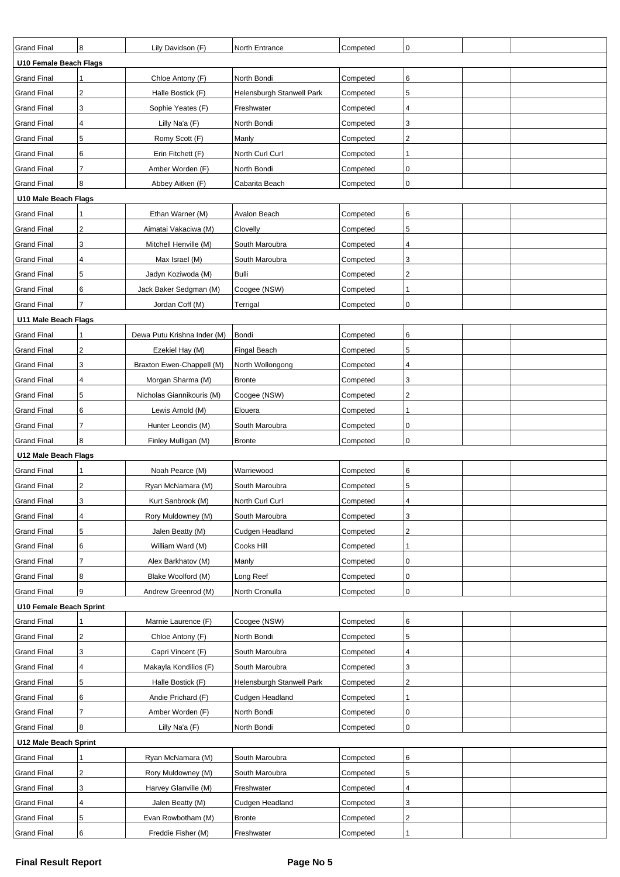| <b>Grand Final</b>      | 8              | Lily Davidson (F)           | North Entrance            | Competed | $\mathbf 0$    |  |
|-------------------------|----------------|-----------------------------|---------------------------|----------|----------------|--|
| U10 Female Beach Flags  |                |                             |                           |          |                |  |
| <b>Grand Final</b>      | 1              | Chloe Antony (F)            | North Bondi               | Competed | 6              |  |
| <b>Grand Final</b>      | $\overline{2}$ | Halle Bostick (F)           | Helensburgh Stanwell Park | Competed | 5              |  |
| <b>Grand Final</b>      | 3              | Sophie Yeates (F)           | Freshwater                | Competed | 4              |  |
| <b>Grand Final</b>      | 4              | Lilly Na'a (F)              | North Bondi               | Competed | 3              |  |
| <b>Grand Final</b>      | 5              | Romy Scott (F)              | Manly                     | Competed | $\overline{c}$ |  |
| <b>Grand Final</b>      | 6              | Erin Fitchett (F)           | North Curl Curl           | Competed | 1              |  |
| <b>Grand Final</b>      | $\overline{7}$ | Amber Worden (F)            | North Bondi               | Competed | 0              |  |
| <b>Grand Final</b>      | 8              | Abbey Aitken (F)            | Cabarita Beach            | Competed | 0              |  |
| U10 Male Beach Flags    |                |                             |                           |          |                |  |
| <b>Grand Final</b>      | 1              | Ethan Warner (M)            | Avalon Beach              | Competed | 6              |  |
| <b>Grand Final</b>      | $\overline{2}$ | Aimatai Vakaciwa (M)        | Clovelly                  | Competed | 5              |  |
| <b>Grand Final</b>      | 3              | Mitchell Henville (M)       | South Maroubra            | Competed | 4              |  |
| <b>Grand Final</b>      | 4              | Max Israel (M)              | South Maroubra            | Competed | 3              |  |
| <b>Grand Final</b>      | 5              | Jadyn Koziwoda (M)          | Bulli                     | Competed | $\overline{2}$ |  |
| <b>Grand Final</b>      | 6              | Jack Baker Sedgman (M)      | Coogee (NSW)              | Competed | 1              |  |
| <b>Grand Final</b>      | $\overline{7}$ | Jordan Coff (M)             | Terrigal                  | Competed | $\mathbf 0$    |  |
| U11 Male Beach Flags    |                |                             |                           |          |                |  |
| <b>Grand Final</b>      |                | Dewa Putu Krishna Inder (M) | Bondi                     | Competed | 6              |  |
| <b>Grand Final</b>      | $\overline{c}$ | Ezekiel Hay (M)             | Fingal Beach              | Competed | 5              |  |
| <b>Grand Final</b>      | 3              | Braxton Ewen-Chappell (M)   | North Wollongong          | Competed | $\overline{4}$ |  |
| <b>Grand Final</b>      | 4              | Morgan Sharma (M)           | <b>Bronte</b>             | Competed | 3              |  |
| <b>Grand Final</b>      | 5              | Nicholas Giannikouris (M)   | Coogee (NSW)              | Competed | $\overline{2}$ |  |
| <b>Grand Final</b>      | 6              | Lewis Arnold (M)            | Elouera                   | Competed |                |  |
| <b>Grand Final</b>      | $\overline{7}$ | Hunter Leondis (M)          | South Maroubra            | Competed | 0              |  |
| <b>Grand Final</b>      | 8              |                             | <b>Bronte</b>             |          | 0              |  |
|                         |                | Finley Mulligan (M)         |                           | Competed |                |  |
| U12 Male Beach Flags    |                |                             |                           |          |                |  |
| <b>Grand Final</b>      | 1              | Noah Pearce (M)             | Warriewood                | Competed | 6              |  |
| <b>Grand Final</b>      | $\overline{2}$ | Ryan McNamara (M)           | South Maroubra            | Competed | 5              |  |
| <b>Grand Final</b>      | 3              | Kurt Sanbrook (M)           | North Curl Curl           | Competed | $\overline{4}$ |  |
| <b>Grand Final</b>      | 4              | Rory Muldowney (M)          | South Maroubra            | Competed | 3              |  |
| <b>Grand Final</b>      | 5              | Jalen Beatty (M)            | Cudgen Headland           | Competed | $\overline{c}$ |  |
| <b>Grand Final</b>      | 6              | William Ward (M)            | Cooks Hill                | Competed |                |  |
| <b>Grand Final</b>      | $\overline{7}$ | Alex Barkhatov (M)          | Manly                     | Competed | 0              |  |
| <b>Grand Final</b>      | 8              | Blake Woolford (M)          | Long Reef                 | Competed | 0              |  |
| <b>Grand Final</b>      | 9              | Andrew Greenrod (M)         | North Cronulla            | Competed | $\mathbf 0$    |  |
| U10 Female Beach Sprint |                |                             |                           |          |                |  |
| <b>Grand Final</b>      | 1              | Marnie Laurence (F)         | Coogee (NSW)              | Competed | 6              |  |
| <b>Grand Final</b>      | $\overline{c}$ | Chloe Antony (F)            | North Bondi               | Competed | 5              |  |
| <b>Grand Final</b>      | 3              | Capri Vincent (F)           | South Maroubra            | Competed | 4              |  |
| <b>Grand Final</b>      | 4              | Makayla Kondilios (F)       | South Maroubra            | Competed | 3              |  |
| <b>Grand Final</b>      | 5              | Halle Bostick (F)           | Helensburgh Stanwell Park | Competed | $\overline{2}$ |  |
| <b>Grand Final</b>      | 6              | Andie Prichard (F)          | Cudgen Headland           | Competed |                |  |
| <b>Grand Final</b>      | $\overline{7}$ | Amber Worden (F)            | North Bondi               | Competed | 0              |  |
| <b>Grand Final</b>      | 8              | Lilly Na'a (F)              | North Bondi               | Competed | 0              |  |
| U12 Male Beach Sprint   |                |                             |                           |          |                |  |
| <b>Grand Final</b>      | 1              | Ryan McNamara (M)           | South Maroubra            | Competed | 6              |  |
| <b>Grand Final</b>      | $\overline{c}$ | Rory Muldowney (M)          | South Maroubra            | Competed | 5              |  |
| <b>Grand Final</b>      | 3              | Harvey Glanville (M)        | Freshwater                | Competed | $\overline{4}$ |  |
| <b>Grand Final</b>      | 4              | Jalen Beatty (M)            | Cudgen Headland           | Competed | 3              |  |
| <b>Grand Final</b>      | $\sqrt{5}$     | Evan Rowbotham (M)          | <b>Bronte</b>             | Competed | $\overline{2}$ |  |
| <b>Grand Final</b>      | 6              | Freddie Fisher (M)          | Freshwater                | Competed |                |  |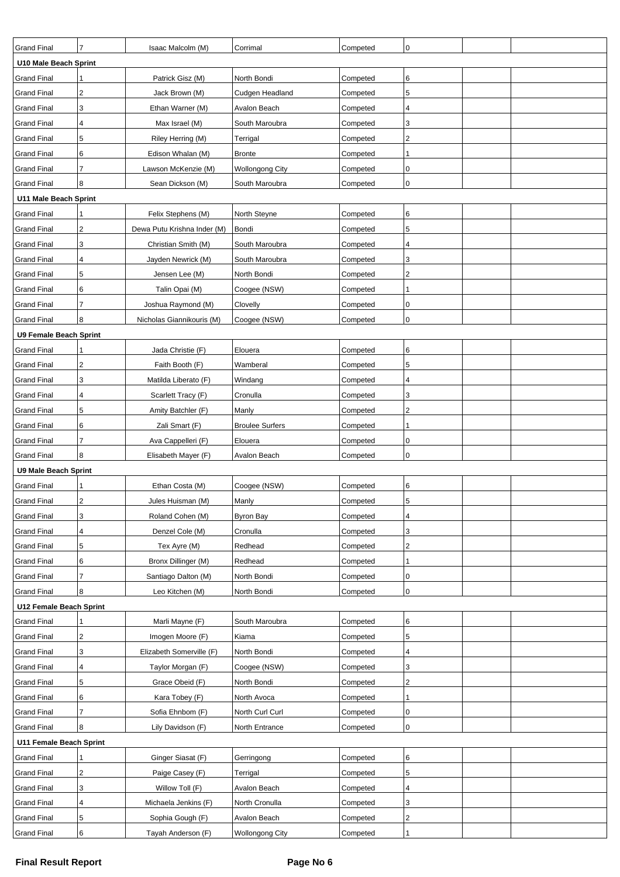| <b>Grand Final</b>            | $\overline{7}$          | Isaac Malcolm (M)           | Corrimal               | Competed | $\mathbf 0$             |  |  |  |
|-------------------------------|-------------------------|-----------------------------|------------------------|----------|-------------------------|--|--|--|
| U10 Male Beach Sprint         |                         |                             |                        |          |                         |  |  |  |
| <b>Grand Final</b>            |                         | Patrick Gisz (M)            | North Bondi            | Competed | 6                       |  |  |  |
| <b>Grand Final</b>            | $\overline{c}$          | Jack Brown (M)              | Cudgen Headland        | Competed | 5                       |  |  |  |
| <b>Grand Final</b>            | 3                       | Ethan Warner (M)            | Avalon Beach           | Competed | 4                       |  |  |  |
| <b>Grand Final</b>            | 4                       | Max Israel (M)              | South Maroubra         | Competed | 3                       |  |  |  |
| <b>Grand Final</b>            | 5                       | Riley Herring (M)           | Terrigal               | Competed | $\overline{\mathbf{c}}$ |  |  |  |
| <b>Grand Final</b>            | 6                       | Edison Whalan (M)           | <b>Bronte</b>          | Competed |                         |  |  |  |
| <b>Grand Final</b>            | $\overline{7}$          | Lawson McKenzie (M)         | <b>Wollongong City</b> | Competed | 0                       |  |  |  |
| <b>Grand Final</b>            | 8                       | Sean Dickson (M)            | South Maroubra         | Competed | 0                       |  |  |  |
| U11 Male Beach Sprint         |                         |                             |                        |          |                         |  |  |  |
| <b>Grand Final</b>            |                         | Felix Stephens (M)          | North Steyne           | Competed | 6                       |  |  |  |
| <b>Grand Final</b>            | $\overline{2}$          | Dewa Putu Krishna Inder (M) | Bondi                  | Competed | 5                       |  |  |  |
| <b>Grand Final</b>            | 3                       | Christian Smith (M)         | South Maroubra         | Competed | 4                       |  |  |  |
| <b>Grand Final</b>            | 4                       | Jayden Newrick (M)          | South Maroubra         | Competed | 3                       |  |  |  |
| <b>Grand Final</b>            | $\sqrt{5}$              | Jensen Lee (M)              | North Bondi            | Competed | 2                       |  |  |  |
| <b>Grand Final</b>            | 6                       | Talin Opai (M)              | Coogee (NSW)           | Competed |                         |  |  |  |
| <b>Grand Final</b>            | $\overline{7}$          | Joshua Raymond (M)          | Clovelly               | Competed | 0                       |  |  |  |
| <b>Grand Final</b>            | 8                       | Nicholas Giannikouris (M)   | Coogee (NSW)           | Competed | 0                       |  |  |  |
| <b>U9 Female Beach Sprint</b> |                         |                             |                        |          |                         |  |  |  |
| <b>Grand Final</b>            | 1                       | Jada Christie (F)           | Elouera                | Competed | 6                       |  |  |  |
| <b>Grand Final</b>            | $\overline{2}$          | Faith Booth (F)             | Wamberal               | Competed | 5                       |  |  |  |
| <b>Grand Final</b>            | 3                       | Matilda Liberato (F)        | Windang                | Competed | 4                       |  |  |  |
| <b>Grand Final</b>            | 4                       | Scarlett Tracy (F)          | Cronulla               | Competed | 3                       |  |  |  |
| <b>Grand Final</b>            | 5                       | Amity Batchler (F)          | Manly                  | Competed | 2                       |  |  |  |
| <b>Grand Final</b>            | 6                       | Zali Smart (F)              | <b>Broulee Surfers</b> | Competed |                         |  |  |  |
| <b>Grand Final</b>            | $\overline{7}$          | Ava Cappelleri (F)          | Elouera                | Competed | 0                       |  |  |  |
| <b>Grand Final</b>            | 8                       | Elisabeth Mayer (F)         | Avalon Beach           | Competed | 0                       |  |  |  |
| <b>U9 Male Beach Sprint</b>   |                         |                             |                        |          |                         |  |  |  |
| <b>Grand Final</b>            |                         | Ethan Costa (M)             | Coogee (NSW)           | Competed | 6                       |  |  |  |
| <b>Grand Final</b>            | $\overline{2}$          | Jules Huisman (M)           | Manly                  | Competed | 5                       |  |  |  |
| <b>Grand Final</b>            | 3                       | Roland Cohen (M)            | <b>Byron Bay</b>       | Competed | 4                       |  |  |  |
| <b>Grand Final</b>            | 4                       | Denzel Cole (M)             | Cronulla               | Competed | 3                       |  |  |  |
| <b>Grand Final</b>            | 5                       | Tex Ayre (M)                | Redhead                | Competed | 2                       |  |  |  |
| <b>Grand Final</b>            | 6                       | Bronx Dillinger (M)         | Redhead                | Competed |                         |  |  |  |
| <b>Grand Final</b>            | $\overline{7}$          | Santiago Dalton (M)         | North Bondi            | Competed | 0                       |  |  |  |
| <b>Grand Final</b>            | 8                       | Leo Kitchen (M)             | North Bondi            | Competed | $\mathbf 0$             |  |  |  |
| U12 Female Beach Sprint       |                         |                             |                        |          |                         |  |  |  |
| <b>Grand Final</b>            | 1                       | Marli Mayne (F)             | South Maroubra         | Competed | 6                       |  |  |  |
| <b>Grand Final</b>            | $\overline{c}$          | Imogen Moore (F)            | Kiama                  | Competed | 5                       |  |  |  |
| <b>Grand Final</b>            | 3                       | Elizabeth Somerville (F)    | North Bondi            | Competed | 4                       |  |  |  |
| <b>Grand Final</b>            | $\overline{\mathbf{4}}$ | Taylor Morgan (F)           | Coogee (NSW)           | Competed | 3                       |  |  |  |
| <b>Grand Final</b>            | 5                       | Grace Obeid (F)             | North Bondi            | Competed | $\overline{c}$          |  |  |  |
| <b>Grand Final</b>            | 6                       | Kara Tobey (F)              | North Avoca            | Competed |                         |  |  |  |
| <b>Grand Final</b>            | $\overline{7}$          | Sofia Ehnbom (F)            | North Curl Curl        | Competed | 0                       |  |  |  |
| <b>Grand Final</b>            | 8                       | Lily Davidson (F)           | North Entrance         | Competed | $\mathbf 0$             |  |  |  |
|                               | U11 Female Beach Sprint |                             |                        |          |                         |  |  |  |
| <b>Grand Final</b>            | 1                       | Ginger Siasat (F)           | Gerringong             | Competed | 6                       |  |  |  |
| <b>Grand Final</b>            | $\overline{2}$          | Paige Casey (F)             | Terrigal               | Competed | 5                       |  |  |  |
| <b>Grand Final</b>            | 3                       | Willow Toll (F)             | Avalon Beach           | Competed | 4                       |  |  |  |
| <b>Grand Final</b>            | 4                       | Michaela Jenkins (F)        | North Cronulla         | Competed | 3                       |  |  |  |
| <b>Grand Final</b>            | 5                       | Sophia Gough (F)            | Avalon Beach           | Competed | 2                       |  |  |  |
| <b>Grand Final</b>            | 6                       | Tayah Anderson (F)          | <b>Wollongong City</b> | Competed |                         |  |  |  |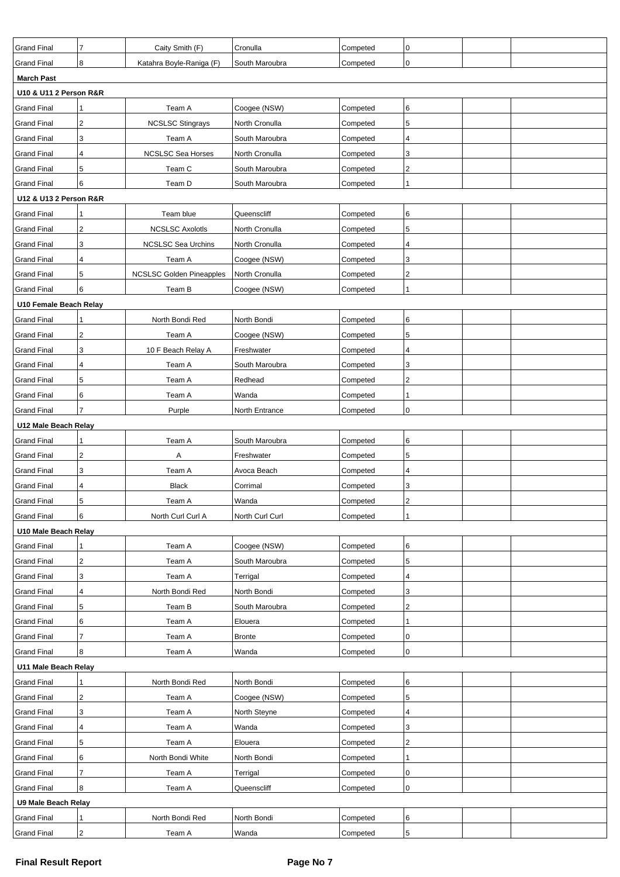| <b>Grand Final</b>     | 7                       | Caity Smith (F)                 | Cronulla        | Competed | $\mathbf 0$    |  |
|------------------------|-------------------------|---------------------------------|-----------------|----------|----------------|--|
| <b>Grand Final</b>     | 8                       | Katahra Boyle-Raniga (F)        | South Maroubra  | Competed | 0              |  |
| <b>March Past</b>      |                         |                                 |                 |          |                |  |
| U10 & U11 2 Person R&R |                         |                                 |                 |          |                |  |
| <b>Grand Final</b>     |                         | Team A                          | Coogee (NSW)    | Competed | 6              |  |
| <b>Grand Final</b>     | 2                       | <b>NCSLSC Stingrays</b>         | North Cronulla  | Competed | 5              |  |
| <b>Grand Final</b>     | 3                       | Team A                          | South Maroubra  | Competed | 4              |  |
| <b>Grand Final</b>     | 4                       | <b>NCSLSC Sea Horses</b>        | North Cronulla  | Competed | 3              |  |
| <b>Grand Final</b>     | 5                       | Team C                          | South Maroubra  | Competed | $\overline{c}$ |  |
| <b>Grand Final</b>     | 6                       | Team D                          | South Maroubra  | Competed |                |  |
| U12 & U13 2 Person R&R |                         |                                 |                 |          |                |  |
| <b>Grand Final</b>     |                         | Team blue                       | Queenscliff     | Competed | 6              |  |
| <b>Grand Final</b>     | 2                       | <b>NCSLSC AxolotIs</b>          | North Cronulla  | Competed | 5              |  |
| <b>Grand Final</b>     | 3                       | <b>NCSLSC Sea Urchins</b>       | North Cronulla  | Competed | 4              |  |
| <b>Grand Final</b>     | 4                       | Team A                          | Coogee (NSW)    | Competed | 3              |  |
| <b>Grand Final</b>     | 5                       | <b>NCSLSC Golden Pineapples</b> | North Cronulla  | Competed | $\overline{c}$ |  |
| <b>Grand Final</b>     | 6                       | Team B                          | Coogee (NSW)    | Competed |                |  |
| U10 Female Beach Relay |                         |                                 |                 |          |                |  |
| <b>Grand Final</b>     |                         | North Bondi Red                 | North Bondi     | Competed | 6              |  |
| <b>Grand Final</b>     | $\overline{\mathbf{c}}$ | Team A                          | Coogee (NSW)    | Competed | 5              |  |
| <b>Grand Final</b>     | 3                       | 10 F Beach Relay A              | Freshwater      | Competed | 4              |  |
| <b>Grand Final</b>     | 4                       | Team A                          | South Maroubra  | Competed | 3              |  |
| <b>Grand Final</b>     | 5                       | Team A                          | Redhead         | Competed | $\overline{2}$ |  |
| <b>Grand Final</b>     | 6                       | Team A                          | Wanda           | Competed |                |  |
| <b>Grand Final</b>     | 7                       | Purple                          | North Entrance  | Competed | $\mathbf 0$    |  |
| U12 Male Beach Relay   |                         |                                 |                 |          |                |  |
| <b>Grand Final</b>     |                         | Team A                          | South Maroubra  | Competed | 6              |  |
| <b>Grand Final</b>     | 2                       | A                               | Freshwater      | Competed | 5              |  |
| <b>Grand Final</b>     | 3                       | Team A                          | Avoca Beach     | Competed | 4              |  |
| <b>Grand Final</b>     | 4                       | <b>Black</b>                    | Corrimal        | Competed | 3              |  |
| <b>Grand Final</b>     | 5                       | Team A                          | Wanda           | Competed | $\mathcal{P}$  |  |
| <b>Grand Final</b>     | 6                       | North Curl Curl A               | North Curl Curl | Competed | 1              |  |
| U10 Male Beach Relay   |                         |                                 |                 |          |                |  |
| <b>Grand Final</b>     |                         | Team A                          | Coogee (NSW)    | Competed | 6              |  |
| <b>Grand Final</b>     | $\sqrt{2}$              | Team A                          | South Maroubra  | Competed | 5              |  |
| <b>Grand Final</b>     | 3                       | Team A                          | Terrigal        | Competed | 4              |  |
| <b>Grand Final</b>     | 4                       | North Bondi Red                 | North Bondi     | Competed | 3              |  |
| <b>Grand Final</b>     | $\sqrt{5}$              | Team B                          | South Maroubra  | Competed | $\overline{2}$ |  |
| <b>Grand Final</b>     | 6                       | Team A                          | Elouera         | Competed |                |  |
| <b>Grand Final</b>     | 7                       | Team A                          | Bronte          | Competed | 0              |  |
| <b>Grand Final</b>     | 8                       | Team A                          | Wanda           | Competed | $\mathbf 0$    |  |
| U11 Male Beach Relay   |                         |                                 |                 |          |                |  |
| <b>Grand Final</b>     | 1                       | North Bondi Red                 | North Bondi     | Competed | 6              |  |
| <b>Grand Final</b>     | $\sqrt{2}$              | Team A                          | Coogee (NSW)    | Competed | 5              |  |
| <b>Grand Final</b>     | 3                       | Team A                          | North Steyne    | Competed | 4              |  |
| <b>Grand Final</b>     | 4                       | Team A                          | Wanda           | Competed | 3              |  |
| <b>Grand Final</b>     | 5                       | Team A                          | Elouera         | Competed | $\sqrt{2}$     |  |
| <b>Grand Final</b>     | 6                       | North Bondi White               | North Bondi     | Competed |                |  |
| <b>Grand Final</b>     | 7                       | Team A                          | Terrigal        | Competed | 0              |  |
| <b>Grand Final</b>     | 8                       | Team A                          | Queenscliff     | Competed | 0              |  |
| U9 Male Beach Relay    |                         |                                 |                 |          |                |  |
| <b>Grand Final</b>     | 1                       | North Bondi Red                 | North Bondi     | Competed | 6              |  |
| <b>Grand Final</b>     | $\overline{2}$          | Team A                          | Wanda           | Competed | 5              |  |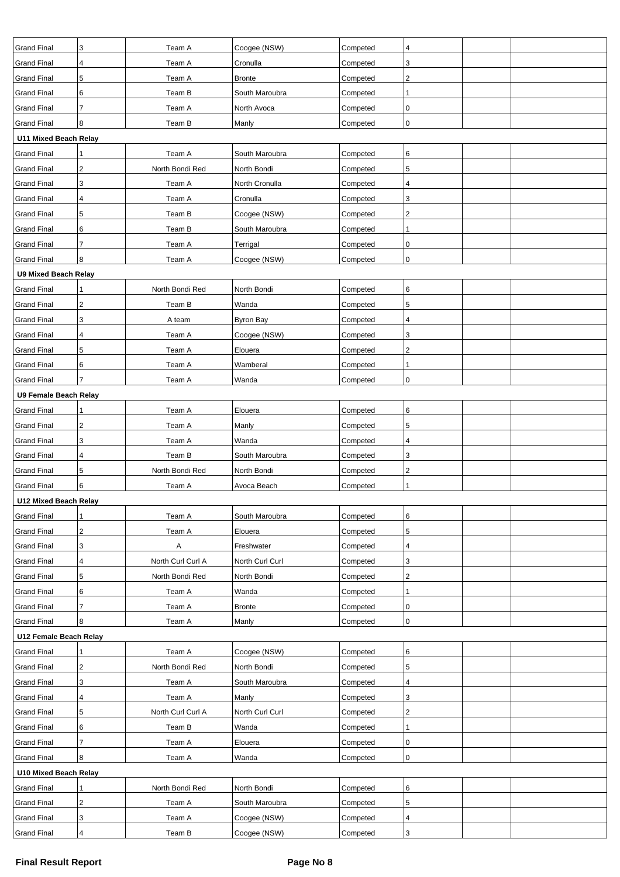| <b>Grand Final</b>          | 3                       | Team A            | Coogee (NSW)     | Competed | 4              |  |  |  |  |  |
|-----------------------------|-------------------------|-------------------|------------------|----------|----------------|--|--|--|--|--|
| <b>Grand Final</b>          | 4                       | Team A            | Cronulla         | Competed | 3              |  |  |  |  |  |
| <b>Grand Final</b>          | 5                       | Team A            | <b>Bronte</b>    | Competed | $\mathbf{2}$   |  |  |  |  |  |
| <b>Grand Final</b>          | 6                       | Team B            | South Maroubra   | Competed |                |  |  |  |  |  |
| <b>Grand Final</b>          | $\overline{7}$          | Team A            | North Avoca      | Competed | 0              |  |  |  |  |  |
| <b>Grand Final</b>          | 8                       | Team B            | Manly            | Competed | $\mathbf 0$    |  |  |  |  |  |
| U11 Mixed Beach Relay       |                         |                   |                  |          |                |  |  |  |  |  |
| <b>Grand Final</b>          |                         | Team A            | South Maroubra   | Competed | 6              |  |  |  |  |  |
| <b>Grand Final</b>          | $\overline{c}$          | North Bondi Red   | North Bondi      | Competed | 5              |  |  |  |  |  |
| <b>Grand Final</b>          | 3                       | Team A            | North Cronulla   | Competed | 4              |  |  |  |  |  |
| <b>Grand Final</b>          | 4                       | Team A            | Cronulla         | Competed | 3              |  |  |  |  |  |
| <b>Grand Final</b>          | 5                       | Team B            | Coogee (NSW)     | Competed | $\sqrt{2}$     |  |  |  |  |  |
| <b>Grand Final</b>          | 6                       | Team B            | South Maroubra   | Competed | 1              |  |  |  |  |  |
| <b>Grand Final</b>          | 7                       | Team A            | Terrigal         | Competed | $\mathbf 0$    |  |  |  |  |  |
| <b>Grand Final</b>          | 8                       | Team A            | Coogee (NSW)     | Competed | 0              |  |  |  |  |  |
| <b>U9 Mixed Beach Relay</b> |                         |                   |                  |          |                |  |  |  |  |  |
| <b>Grand Final</b>          | 1                       | North Bondi Red   | North Bondi      | Competed | 6              |  |  |  |  |  |
| <b>Grand Final</b>          | $\overline{c}$          | Team B            | Wanda            | Competed | 5              |  |  |  |  |  |
| <b>Grand Final</b>          | 3                       | A team            | <b>Byron Bay</b> | Competed | 4              |  |  |  |  |  |
| <b>Grand Final</b>          | 4                       | Team A            | Coogee (NSW)     | Competed | 3              |  |  |  |  |  |
| <b>Grand Final</b>          | 5                       | Team A            | Elouera          | Competed | $\overline{2}$ |  |  |  |  |  |
| <b>Grand Final</b>          | 6                       | Team A            | Wamberal         | Competed | 1              |  |  |  |  |  |
| <b>Grand Final</b>          | $\overline{7}$          | Team A            | Wanda            | Competed | $\pmb{0}$      |  |  |  |  |  |
|                             | U9 Female Beach Relay   |                   |                  |          |                |  |  |  |  |  |
| <b>Grand Final</b>          |                         | Team A            | Elouera          | Competed | 6              |  |  |  |  |  |
| <b>Grand Final</b>          | $\mathbf 2$             | Team A            | Manly            | Competed | 5              |  |  |  |  |  |
| <b>Grand Final</b>          | 3                       | Team A            | Wanda            | Competed | 4              |  |  |  |  |  |
| <b>Grand Final</b>          | 4                       | Team B            | South Maroubra   | Competed | 3              |  |  |  |  |  |
| <b>Grand Final</b>          | 5                       | North Bondi Red   | North Bondi      | Competed | $\sqrt{2}$     |  |  |  |  |  |
| <b>Grand Final</b>          | 6                       | Team A            | Avoca Beach      | Competed | 1              |  |  |  |  |  |
| U12 Mixed Beach Relay       |                         |                   |                  |          |                |  |  |  |  |  |
| <b>Grand Final</b>          | 1                       | Team A            | South Maroubra   | Competed | 6              |  |  |  |  |  |
| <b>Grand Final</b>          | $\overline{\mathbf{c}}$ | Team A            | Elouera          | Competed | 5              |  |  |  |  |  |
| <b>Grand Final</b>          | 3                       | Α                 | Freshwater       | Competed | 4              |  |  |  |  |  |
| <b>Grand Final</b>          | 4                       | North Curl Curl A | North Curl Curl  | Competed | 3              |  |  |  |  |  |
| <b>Grand Final</b>          | 5                       | North Bondi Red   | North Bondi      | Competed | $\overline{c}$ |  |  |  |  |  |
| <b>Grand Final</b>          | 6                       | Team A            | Wanda            | Competed | -1             |  |  |  |  |  |
| <b>Grand Final</b>          | $\overline{7}$          | Team A            | <b>Bronte</b>    | Competed | $\mathbf 0$    |  |  |  |  |  |
| <b>Grand Final</b>          | 8                       |                   | Manly            | Competed | $\pmb{0}$      |  |  |  |  |  |
| U12 Female Beach Relay      |                         | Team A            |                  |          |                |  |  |  |  |  |
| <b>Grand Final</b>          | 1                       | Team A            | Coogee (NSW)     | Competed | 6              |  |  |  |  |  |
| <b>Grand Final</b>          | $\overline{\mathbf{c}}$ | North Bondi Red   | North Bondi      | Competed | 5              |  |  |  |  |  |
|                             | 3                       |                   |                  |          | 4              |  |  |  |  |  |
| <b>Grand Final</b>          |                         | Team A            | South Maroubra   | Competed |                |  |  |  |  |  |
| <b>Grand Final</b>          | 4                       | Team A            | Manly            | Competed | 3              |  |  |  |  |  |
| <b>Grand Final</b>          | 5                       | North Curl Curl A | North Curl Curl  | Competed | $\overline{c}$ |  |  |  |  |  |
| <b>Grand Final</b>          | 6                       | Team B            | Wanda            | Competed | 1              |  |  |  |  |  |
| <b>Grand Final</b>          | $\overline{7}$          | Team A            | Elouera          | Competed | 0              |  |  |  |  |  |
| <b>Grand Final</b>          | 8                       | Team A            | Wanda            | Competed | $\pmb{0}$      |  |  |  |  |  |
| U10 Mixed Beach Relay       |                         |                   |                  |          |                |  |  |  |  |  |
| <b>Grand Final</b>          |                         | North Bondi Red   | North Bondi      | Competed | 6              |  |  |  |  |  |
| <b>Grand Final</b>          | 2                       | Team A            | South Maroubra   | Competed | 5              |  |  |  |  |  |
| <b>Grand Final</b>          | 3                       | Team A            | Coogee (NSW)     | Competed | 4              |  |  |  |  |  |
| <b>Grand Final</b>          | $\pmb{4}$               | Team B            | Coogee (NSW)     | Competed | $\mathsf 3$    |  |  |  |  |  |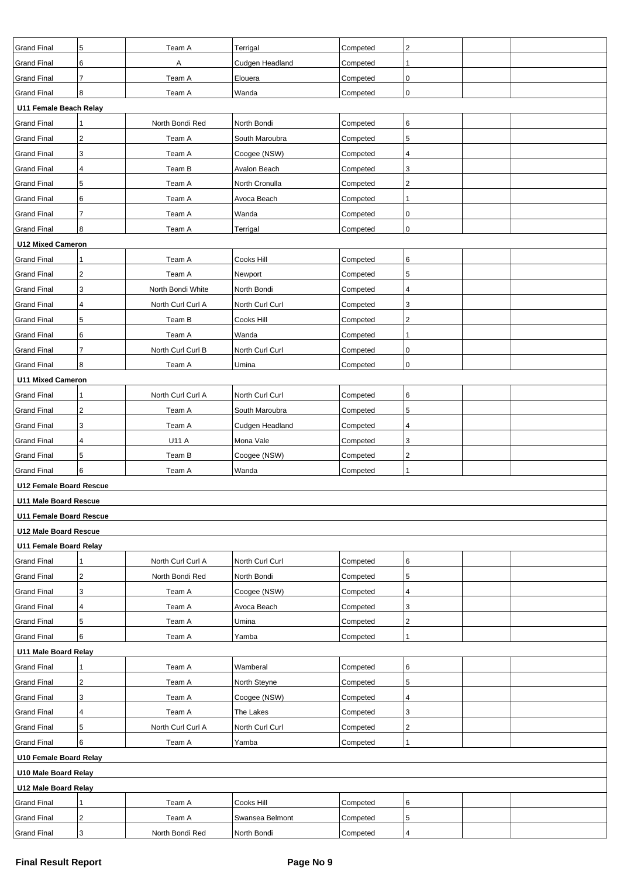| <b>Grand Final</b>             | 5                        | Team A            | Terrigal        | Competed | $\overline{2}$ |  |  |  |  |
|--------------------------------|--------------------------|-------------------|-----------------|----------|----------------|--|--|--|--|
| <b>Grand Final</b>             | 6                        | Α                 | Cudgen Headland | Competed |                |  |  |  |  |
| <b>Grand Final</b>             | $\overline{7}$           | Team A            | Elouera         | Competed | 0              |  |  |  |  |
| <b>Grand Final</b>             | 8                        | Team A            | Wanda           | Competed | $\mathbf 0$    |  |  |  |  |
| U11 Female Beach Relay         |                          |                   |                 |          |                |  |  |  |  |
| <b>Grand Final</b>             |                          | North Bondi Red   | North Bondi     | Competed | 6              |  |  |  |  |
| <b>Grand Final</b>             | 2                        | Team A            | South Maroubra  | Competed | 5              |  |  |  |  |
| <b>Grand Final</b>             | 3                        | Team A            | Coogee (NSW)    | Competed | 4              |  |  |  |  |
| <b>Grand Final</b>             | 4                        | Team B            | Avalon Beach    | Competed | 3              |  |  |  |  |
| <b>Grand Final</b>             | 5                        | Team A            | North Cronulla  | Competed | $\overline{2}$ |  |  |  |  |
| <b>Grand Final</b>             | 6                        | Team A            | Avoca Beach     | Competed |                |  |  |  |  |
| <b>Grand Final</b>             | $\overline{7}$           | Team A            | Wanda           | Competed | 0              |  |  |  |  |
| <b>Grand Final</b>             | 8                        | Team A            | Terrigal        | Competed | $\overline{0}$ |  |  |  |  |
| <b>U12 Mixed Cameron</b>       |                          |                   |                 |          |                |  |  |  |  |
| <b>Grand Final</b>             | 1                        | Team A            | Cooks Hill      | Competed | 6              |  |  |  |  |
| <b>Grand Final</b>             | 2                        | Team A            | Newport         | Competed | 5              |  |  |  |  |
| <b>Grand Final</b>             | 3                        | North Bondi White | North Bondi     | Competed | $\overline{4}$ |  |  |  |  |
| <b>Grand Final</b>             | 4                        | North Curl Curl A | North Curl Curl | Competed | 3              |  |  |  |  |
| <b>Grand Final</b>             | 5                        | Team B            | Cooks Hill      | Competed | $\overline{2}$ |  |  |  |  |
| <b>Grand Final</b>             | 6                        | Team A            | Wanda           | Competed |                |  |  |  |  |
| <b>Grand Final</b>             | $\overline{7}$           | North Curl Curl B | North Curl Curl | Competed | 0              |  |  |  |  |
| <b>Grand Final</b>             | 8                        | Team A            | Umina           | Competed | 0              |  |  |  |  |
|                                | <b>U11 Mixed Cameron</b> |                   |                 |          |                |  |  |  |  |
| <b>Grand Final</b>             | 1                        | North Curl Curl A | North Curl Curl | Competed | 6              |  |  |  |  |
| <b>Grand Final</b>             | $\overline{c}$           | Team A            | South Maroubra  | Competed | 5              |  |  |  |  |
| <b>Grand Final</b>             | 3                        | Team A            | Cudgen Headland | Competed | 4              |  |  |  |  |
| <b>Grand Final</b>             | $\pmb{4}$                | U11 A             | Mona Vale       | Competed | 3              |  |  |  |  |
| <b>Grand Final</b>             | 5                        | Team B            | Coogee (NSW)    | Competed | $\overline{c}$ |  |  |  |  |
| <b>Grand Final</b>             | 6                        | Team A            | Wanda           | Competed |                |  |  |  |  |
| <b>U12 Female Board Rescue</b> |                          |                   |                 |          |                |  |  |  |  |
| <b>U11 Male Board Rescue</b>   |                          |                   |                 |          |                |  |  |  |  |
| U11 Female Board Rescue        |                          |                   |                 |          |                |  |  |  |  |
| U12 Male Board Rescue          |                          |                   |                 |          |                |  |  |  |  |
| U11 Female Board Relay         |                          |                   |                 |          |                |  |  |  |  |
| <b>Grand Final</b>             | 1                        | North Curl Curl A | North Curl Curl | Competed | 6              |  |  |  |  |
| <b>Grand Final</b>             | $\overline{c}$           | North Bondi Red   | North Bondi     | Competed | 5              |  |  |  |  |
| <b>Grand Final</b>             | 3                        | Team A            | Coogee (NSW)    | Competed | 4              |  |  |  |  |
| <b>Grand Final</b>             | 4                        | Team A            | Avoca Beach     | Competed | 3              |  |  |  |  |
| <b>Grand Final</b>             | 5                        | Team A            | Umina           | Competed | $\overline{c}$ |  |  |  |  |
| <b>Grand Final</b>             | 6                        | Team A            | Yamba           | Competed | 1              |  |  |  |  |
| U11 Male Board Relay           |                          |                   |                 |          |                |  |  |  |  |
| <b>Grand Final</b>             | 1                        | Team A            | Wamberal        | Competed | 6              |  |  |  |  |
| <b>Grand Final</b>             | $\overline{\mathbf{c}}$  | Team A            | North Steyne    | Competed | 5              |  |  |  |  |
| <b>Grand Final</b>             | 3                        | Team A            | Coogee (NSW)    | Competed | 4              |  |  |  |  |
| <b>Grand Final</b>             | 4                        | Team A            | The Lakes       | Competed | 3              |  |  |  |  |
| <b>Grand Final</b>             | 5                        | North Curl Curl A | North Curl Curl | Competed | $\overline{c}$ |  |  |  |  |
| <b>Grand Final</b>             | 6                        | Team A            | Yamba           | Competed |                |  |  |  |  |
| U10 Female Board Relay         |                          |                   |                 |          |                |  |  |  |  |
| U10 Male Board Relay           |                          |                   |                 |          |                |  |  |  |  |
|                                | U12 Male Board Relay     |                   |                 |          |                |  |  |  |  |
| <b>Grand Final</b>             | 1                        | Team A            | Cooks Hill      | Competed | 6              |  |  |  |  |
| <b>Grand Final</b>             | $\overline{\mathbf{c}}$  | Team A            | Swansea Belmont | Competed | 5              |  |  |  |  |
| <b>Grand Final</b>             | 3                        | North Bondi Red   | North Bondi     | Competed | $\overline{4}$ |  |  |  |  |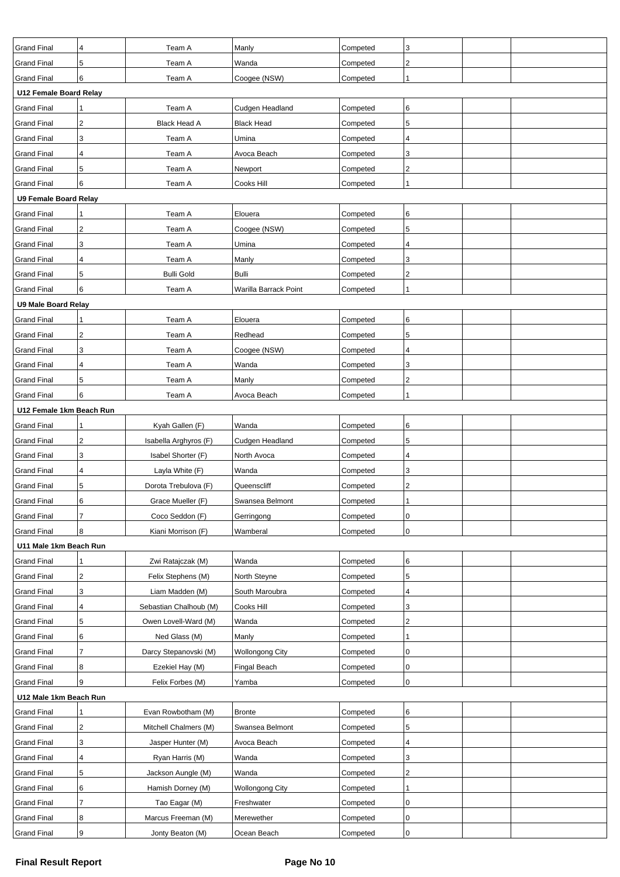| <b>Grand Final</b>                       | 4              | Team A                                | Manly                  | Competed             | 3              |  |
|------------------------------------------|----------------|---------------------------------------|------------------------|----------------------|----------------|--|
| <b>Grand Final</b>                       | $\sqrt{5}$     | Team A                                | Wanda                  | Competed             | $\overline{c}$ |  |
| <b>Grand Final</b>                       | 6              | Team A                                | Coogee (NSW)           | Competed             | 1              |  |
| U12 Female Board Relay                   |                |                                       |                        |                      |                |  |
| <b>Grand Final</b>                       |                | Team A                                | Cudgen Headland        | Competed             | 6              |  |
| <b>Grand Final</b>                       | 2              | <b>Black Head A</b>                   | <b>Black Head</b>      | Competed             | 5              |  |
| <b>Grand Final</b>                       | 3              | Team A                                | Umina                  | Competed             | 4              |  |
| <b>Grand Final</b>                       | 4              | Team A                                | Avoca Beach            | Competed             | 3              |  |
| <b>Grand Final</b>                       | 5              | Team A                                | Newport                | Competed             | $\overline{2}$ |  |
| <b>Grand Final</b>                       | 6              | Team A                                | Cooks Hill             | Competed             | 1              |  |
| <b>U9 Female Board Relay</b>             |                |                                       |                        |                      |                |  |
| <b>Grand Final</b>                       | 1              | Team A                                | Elouera                | Competed             | 6              |  |
| <b>Grand Final</b>                       | $\sqrt{2}$     | Team A                                | Coogee (NSW)           | Competed             | 5              |  |
| <b>Grand Final</b>                       | 3              | Team A                                | Umina                  | Competed             | 4              |  |
| <b>Grand Final</b>                       | 4              | Team A                                | Manly                  | Competed             | 3              |  |
| <b>Grand Final</b>                       | 5              | <b>Bulli Gold</b>                     | <b>Bulli</b>           | Competed             | 2              |  |
| <b>Grand Final</b>                       | 6              | Team A                                | Warilla Barrack Point  | Competed             | 1              |  |
| <b>U9 Male Board Relay</b>               |                |                                       |                        |                      |                |  |
| <b>Grand Final</b>                       | 1              | Team A                                | Elouera                | Competed             | 6              |  |
| <b>Grand Final</b>                       | $\sqrt{2}$     | Team A                                | Redhead                | Competed             | 5              |  |
| <b>Grand Final</b>                       | 3              | Team A                                | Coogee (NSW)           | Competed             | 4              |  |
| <b>Grand Final</b>                       | 4              | Team A                                | Wanda                  | Competed             | 3              |  |
| <b>Grand Final</b>                       | 5              | Team A                                | Manly                  | Competed             | 2              |  |
| <b>Grand Final</b>                       | 6              | Team A                                | Avoca Beach            | Competed             |                |  |
| U12 Female 1km Beach Run                 |                |                                       |                        |                      |                |  |
| <b>Grand Final</b>                       |                | Kyah Gallen (F)                       | Wanda                  | Competed             | 6              |  |
| <b>Grand Final</b>                       | 2              | Isabella Arghyros (F)                 | Cudgen Headland        | Competed             | 5              |  |
|                                          |                |                                       | North Avoca            |                      | 4              |  |
| <b>Grand Final</b><br><b>Grand Final</b> | 3<br>4         | Isabel Shorter (F)<br>Layla White (F) | Wanda                  | Competed             | 3              |  |
| <b>Grand Final</b>                       | 5              | Dorota Trebulova (F)                  |                        | Competed             | 2              |  |
|                                          | 6              |                                       | Queenscliff            | Competed<br>Competed | 1              |  |
| <b>Grand Final</b>                       |                | Grace Mueller (F)                     | Swansea Belmont        |                      |                |  |
| <b>Grand Final</b>                       | $\overline{7}$ | Coco Seddon (F)                       | Gerringong             | Competed             | $\pmb{0}$      |  |
| <b>Grand Final</b>                       | 8              | Kiani Morrison (F)                    | Wamberal               | Competed             | 0              |  |
| U11 Male 1km Beach Run                   |                |                                       |                        |                      |                |  |
| <b>Grand Final</b>                       |                | Zwi Ratajczak (M)                     | Wanda                  | Competed             | 6              |  |
| <b>Grand Final</b>                       | 2              | Felix Stephens (M)                    | North Steyne           | Competed             | 5              |  |
| <b>Grand Final</b>                       | 3              | Liam Madden (M)                       | South Maroubra         | Competed             | 4              |  |
| <b>Grand Final</b>                       | $\sqrt{4}$     | Sebastian Chalhoub (M)                | Cooks Hill             | Competed             | 3              |  |
| <b>Grand Final</b>                       | 5              | Owen Lovell-Ward (M)                  | Wanda                  | Competed             | $\overline{c}$ |  |
| <b>Grand Final</b>                       | 6              | Ned Glass (M)                         | Manly                  | Competed             |                |  |
| <b>Grand Final</b>                       | 7              | Darcy Stepanovski (M)                 | <b>Wollongong City</b> | Competed             | $\pmb{0}$      |  |
| <b>Grand Final</b>                       | 8              | Ezekiel Hay (M)                       | Fingal Beach           | Competed             | 0              |  |
| <b>Grand Final</b>                       | 9              | Felix Forbes (M)                      | Yamba                  | Competed             | 0              |  |
| U12 Male 1km Beach Run                   |                |                                       |                        |                      |                |  |
| <b>Grand Final</b>                       |                | Evan Rowbotham (M)                    | <b>Bronte</b>          | Competed             | 6              |  |
| <b>Grand Final</b>                       | $\sqrt{2}$     | Mitchell Chalmers (M)                 | Swansea Belmont        | Competed             | 5              |  |
| <b>Grand Final</b>                       | 3              | Jasper Hunter (M)                     | Avoca Beach            | Competed             | 4              |  |
| <b>Grand Final</b>                       | 4              | Ryan Harris (M)                       | Wanda                  | Competed             | 3              |  |
| <b>Grand Final</b>                       | 5              | Jackson Aungle (M)                    | Wanda                  | Competed             | $\sqrt{2}$     |  |
| <b>Grand Final</b>                       | 6              | Hamish Dorney (M)                     | <b>Wollongong City</b> | Competed             |                |  |
| <b>Grand Final</b>                       | $\overline{7}$ | Tao Eagar (M)                         | Freshwater             | Competed             | $\pmb{0}$      |  |
| <b>Grand Final</b>                       | 8              | Marcus Freeman (M)                    | Merewether             | Competed             | $\pmb{0}$      |  |
| <b>Grand Final</b>                       | 9              | Jonty Beaton (M)                      | Ocean Beach            | Competed             | 0              |  |